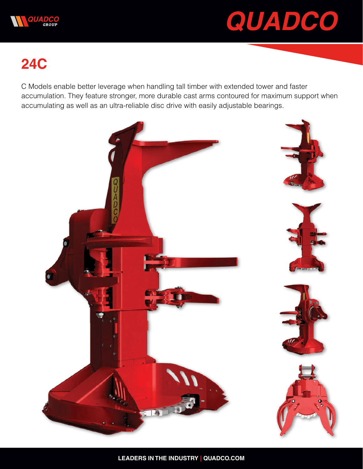



## **24C**

C Models enable better leverage when handling tall timber with extended tower and faster accumulation. They feature stronger, more durable cast arms contoured for maximum support when accumulating as well as an ultra-reliable disc drive with easily adjustable bearings.